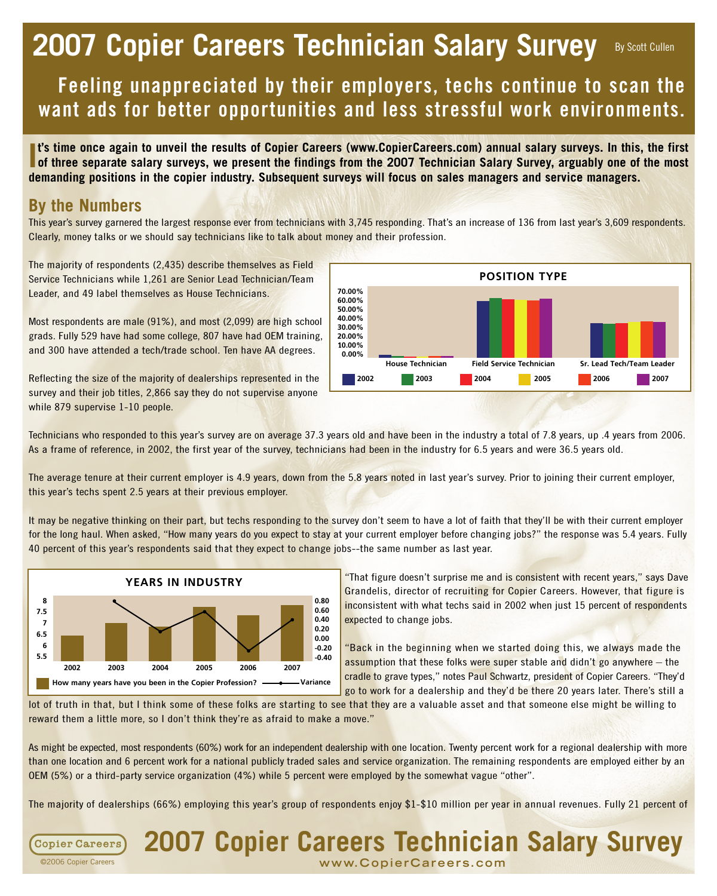# **2007 Copier Careers Technician Salary Survey** By Scott Cullen

# **Feeling unappreciated by their employers, techs continue to scan the want ads for better opportunities and less stressful work environments.**

**I**<sup>t's</sup> time once again to unveil the results of Copier Careers (www.CopierCareers.com) annual salary surveys. In this, the first of three separate salary surveys, we present the findings from the 2007 Technician Salary S **of three separate salary surveys, we present the findings from the 2007 Technician Salary Survey, arguably one of the most demanding positions in the copier industry. Subsequent surveys will focus on sales managers and service managers.** 

#### **By the Numbers**

This year's survey garnered the largest response ever from technicians with 3,745 responding. That's an increase of 136 from last year's 3,609 respondents. Clearly, money talks or we should say technicians like to talk about money and their profession.

The majority of respondents (2,435) describe themselves as Field Service Technicians while 1,261 are Senior Lead Technician/Team Leader, and 49 label themselves as House Technicians.

Most respondents are male (91%), and most (2,099) are high school grads. Fully 529 have had some college, 807 have had OEM training, and 300 have attended a tech/trade school. Ten have AA degrees.

Reflecting the size of the majority of dealerships represented in the survey and their job titles, 2,866 say they do not supervise anyone while 879 supervise 1-10 people.



Technicians who responded to this year's survey are on average 37.3 years old and have been in the industry a total of 7.8 years, up .4 years from 2006. As a frame of reference, in 2002, the first year of the survey, technicians had been in the industry for 6.5 years and were 36.5 years old.

The average tenure at their current employer is 4.9 years, down from the 5.8 years noted in last year's survey. Prior to joining their current employer, this year's techs spent 2.5 years at their previous employer.

It may be negative thinking on their part, but techs responding to the survey don't seem to have a lot of faith that they'll be with their current employer for the long haul. When asked, "How many years do you expect to stay at your current employer before changing jobs?" the response was 5.4 years. Fully 40 percent of this year's respondents said that they expect to change jobs--the same number as last year.



"That figure doesn't surprise me and is consistent with recent years," says Dave Grandelis, director of recruiting for Copier Careers. However, that figure is inconsistent with what techs said in 2002 when just 15 percent of respondents expected to change jobs.

"Back in the beginning when we started doing this, we always made the assumption that these folks were super stable and didn't go anywhere  $-$  the cradle to grave types," notes Paul Schwartz, president of Copier Careers. "They'd go to work for a dealership and they'd be there 20 years later. There's still a

lot of truth in that, but I think some of these folks are starting to see that they are a valuable asset and that someone else might be willing to reward them a little more, so I don't think they're as afraid to make a move."

As might be expected, most respondents (60%) work for an independent dealership with one location. Twenty percent work for a regional dealership with more than one location and 6 percent work for a national publicly traded sales and service organization. The remaining respondents are employed either by an OEM (5%) or a third-party service organization (4%) while 5 percent were employed by the somewhat vague "other".

The majority of dealerships (66%) employing this year's group of respondents enjoy \$1-\$10 million per year in annual revenues. Fully 21 percent of

**2007 Copier Careers Technician Salary Survey**

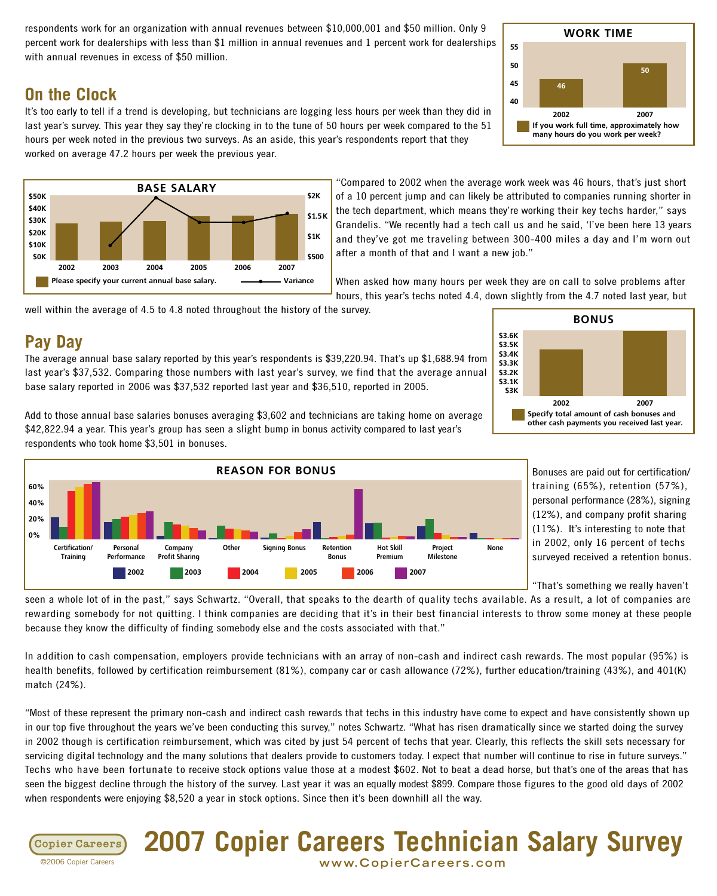respondents work for an organization with annual revenues between \$10,000,001 and \$50 million. Only 9 percent work for dealerships with less than \$1 million in annual revenues and 1 percent work for dealerships with annual revenues in excess of \$50 million.

#### 55 50 45 40 WORK TIME 2002 2007 If you work full time, approximately how many hours do you work per week? 46 50

**On the Clock** It's too early to tell if a trend is developing, but technicians are logging less hours per week than they did in last year's survey. This year they say they're clocking in to the tune of 50 hours per week compared to the 51 hours per week noted in the previous two surveys. As an aside, this year's respondents report that they

worked on average 47.2 hours per week the previous year.



"Compared to 2002 when the average work week was 46 hours, that's just short of a 10 percent jump and can likely be attributed to companies running shorter in the tech department, which means they're working their key techs harder," says Grandelis. "We recently had a tech call us and he said, 'I've been here 13 years and they've got me traveling between 300-400 miles a day and I'm worn out after a month of that and I want a new job."

When asked how many hours per week they are on call to solve problems after hours, this year's techs noted 4.4, down slightly from the 4.7 noted last year, but

well within the average of 4.5 to 4.8 noted throughout the history of the survey.

#### **Pay Day**

The average annual base salary reported by this year's respondents is \$39,220.94. That's up \$1,688.94 from last year's \$37,532. Comparing those numbers with last year's survey, we find that the average annual base salary reported in 2006 was \$37,532 reported last year and \$36,510, reported in 2005.

Add to those annual base salaries bonuses averaging \$3,602 and technicians are taking home on average \$42,822.94 a year. This year's group has seen a slight bump in bonus activity compared to last year's respondents who took home \$3,501 in bonuses.



Bonuses are paid out for certification/ training (65%), retention (57%), personal performance (28%), signing (12%), and company profit sharing (11%). It's interesting to note that in 2002, only 16 percent of techs surveyed received a retention bonus.

"That's something we really haven't

seen a whole lot of in the past," says Schwartz. "Overall, that speaks to the dearth of quality techs available. As a result, a lot of companies are rewarding somebody for not quitting. I think companies are deciding that it's in their best financial interests to throw some money at these people because they know the difficulty of finding somebody else and the costs associated with that."

In addition to cash compensation, employers provide technicians with an array of non-cash and indirect cash rewards. The most popular (95%) is health benefits, followed by certification reimbursement (81%), company car or cash allowance (72%), further education/training (43%), and 401(K) match (24%).

"Most of these represent the primary non-cash and indirect cash rewards that techs in this industry have come to expect and have consistently shown up in our top five throughout the years we've been conducting this survey," notes Schwartz. "What has risen dramatically since we started doing the survey in 2002 though is certification reimbursement, which was cited by just 54 percent of techs that year. Clearly, this reflects the skill sets necessary for servicing digital technology and the many solutions that dealers provide to customers today. I expect that number will continue to rise in future surveys." Techs who have been fortunate to receive stock options value those at a modest \$602. Not to beat a dead horse, but that's one of the areas that has seen the biggest decline through the history of the survey. Last year it was an equally modest \$899. Compare those figures to the good old days of 2002 when respondents were enjoying \$8,520 a year in stock options. Since then it's been downhill all the way.





©2006 Copier Careers **www.C o p i e rC a r e e r s. c om**

**2007 Copier Careers Technician Salary Survey**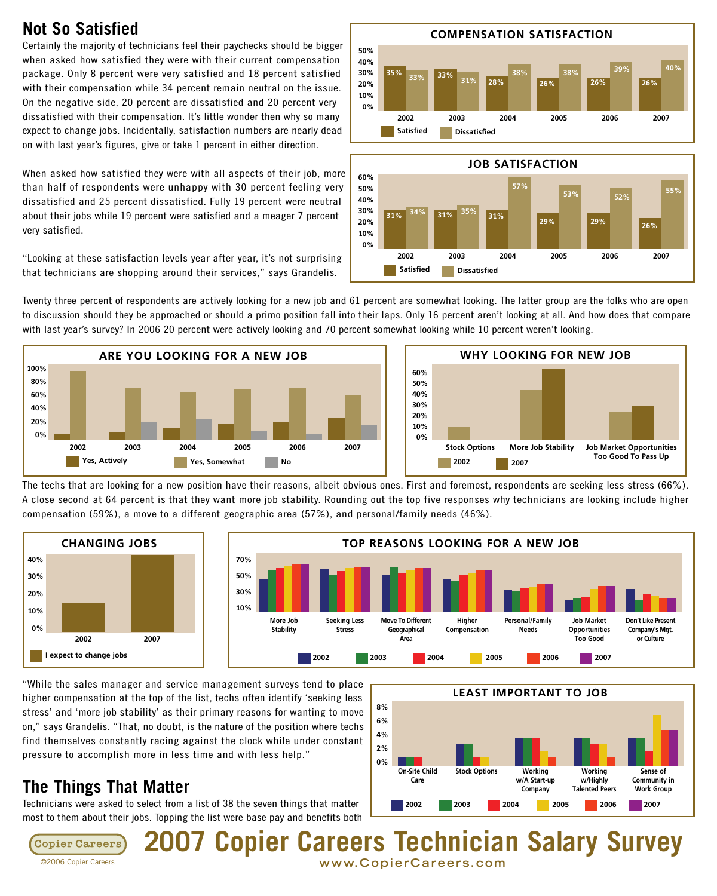### **Not So Satisfied**

Certainly the majority of technicians feel their paychecks should be bigger when asked how satisfied they were with their current compensation package. Only 8 percent were very satisfied and 18 percent satisfied with their compensation while 34 percent remain neutral on the issue. On the negative side, 20 percent are dissatisfied and 20 percent very dissatisfied with their compensation. It's little wonder then why so many expect to change jobs. Incidentally, satisfaction numbers are nearly dead on with last year's figures, give or take 1 percent in either direction.

When asked how satisfied they were with all aspects of their job, more than half of respondents were unhappy with 30 percent feeling very dissatisfied and 25 percent dissatisfied. Fully 19 percent were neutral about their jobs while 19 percent were satisfied and a meager 7 percent very satisfied.

"Looking at these satisfaction levels year after year, it's not surprising that technicians are shopping around their services," says Grandelis.





Twenty three percent of respondents are actively looking for a new job and 61 percent are somewhat looking. The latter group are the folks who are open to discussion should they be approached or should a primo position fall into their laps. Only 16 percent aren't looking at all. And how does that compare with last year's survey? In 2006 20 percent were actively looking and 70 percent somewhat looking while 10 percent weren't looking.





The techs that are looking for a new position have their reasons, albeit obvious ones. First and foremost, respondents are seeking less stress (66%). A close second at 64 percent is that they want more job stability. Rounding out the top five responses why technicians are looking include higher compensation (59%), a move to a different geographic area (57%), and personal/family needs (46%).



"While the sales manager and service management surveys tend to place higher compensation at the top of the list, techs often identify 'seeking less stress' and 'more job stability' as their primary reasons for wanting to move on," says Grandelis. "That, no doubt, is the nature of the position where techs find themselves constantly racing against the clock while under constant pressure to accomplish more in less time and with less help."

# **The Things That Matter**

Technicians were asked to select from a list of 38 the seven things that matter most to them about their jobs. Topping the list were base pay and benefits both



**2007 Copier Careers Technician Salary Survey Copier Careers** ©2006 Copier Careers **www.C o p i e rC a r e e r s. c om**